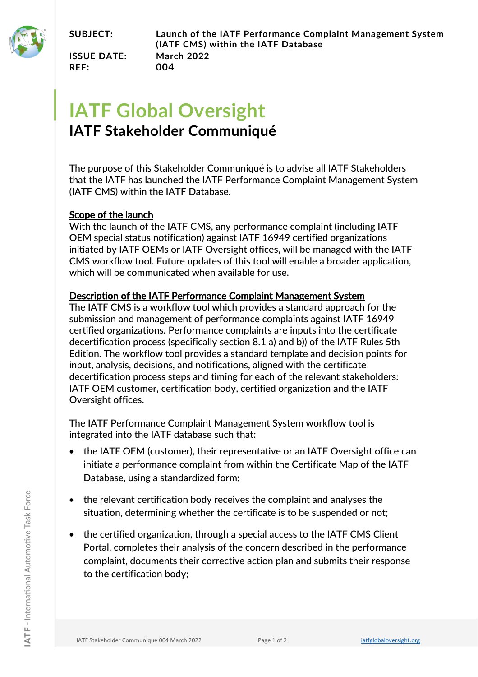

**ISSUE DATE: March 2022 REF: 004**

## **IATF Global Oversight**

## **IATF Stakeholder Communiqué**

The purpose of this Stakeholder Communiqué is to advise all IATF Stakeholders that the IATF has launched the IATF Performance Complaint Management System (IATF CMS) within the IATF Database.

## Scope of the launch

With the launch of the IATF CMS, any performance complaint (including IATF OEM special status notification) against IATF 16949 certified organizations initiated by IATF OEMs or IATF Oversight offices, will be managed with the IATF CMS workflow tool. Future updates of this tool will enable a broader application, which will be communicated when available for use.

## Description of the IATF Performance Complaint Management System

The IATF CMS is a workflow tool which provides a standard approach for the submission and management of performance complaints against IATF 16949 certified organizations. Performance complaints are inputs into the certificate decertification process (specifically section 8.1 a) and b)) of the IATF Rules 5th Edition. The workflow tool provides a standard template and decision points for input, analysis, decisions, and notifications, aligned with the certificate decertification process steps and timing for each of the relevant stakeholders: IATF OEM customer, certification body, certified organization and the IATF Oversight offices.

The IATF Performance Complaint Management System workflow tool is integrated into the IATF database such that:

- the IATF OEM (customer), their representative or an IATF Oversight office can initiate a performance complaint from within the Certificate Map of the IATF Database, using a standardized form;
- the relevant certification body receives the complaint and analyses the situation, determining whether the certificate is to be suspended or not;
- the certified organization, through a special access to the IATF CMS Client Portal, completes their analysis of the concern described in the performance complaint, documents their corrective action plan and submits their response to the certification body;